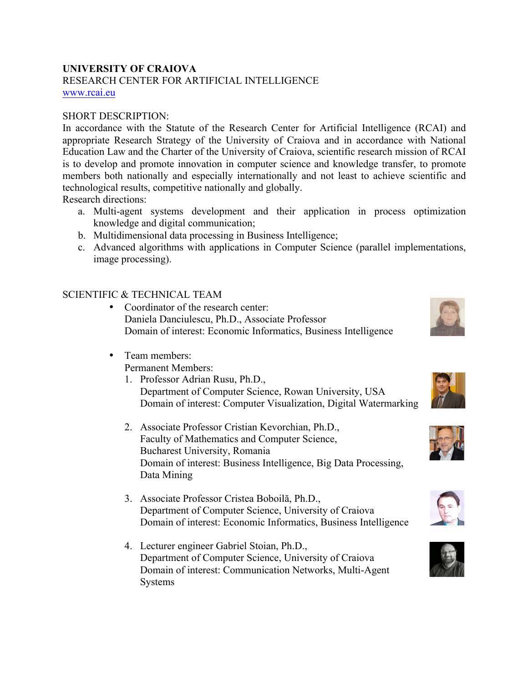## **UNIVERSITY OF CRAIOVA**

RESEARCH CENTER FOR ARTIFICIAL INTELLIGENCE www.rcai.eu

#### SHORT DESCRIPTION:

In accordance with the Statute of the Research Center for Artificial Intelligence (RCAI) and appropriate Research Strategy of the University of Craiova and in accordance with National Education Law and the Charter of the University of Craiova, scientific research mission of RCAI is to develop and promote innovation in computer science and knowledge transfer, to promote members both nationally and especially internationally and not least to achieve scientific and technological results, competitive nationally and globally.

Research directions:

- a. Multi-agent systems development and their application in process optimization knowledge and digital communication;
- b. Multidimensional data processing in Business Intelligence;
- c. Advanced algorithms with applications in Computer Science (parallel implementations, image processing).

### SCIENTIFIC & TECHNICAL TEAM

- Coordinator of the research center: Daniela Danciulescu, Ph.D., Associate Professor Domain of interest: Economic Informatics, Business Intelligence
- Team members: Permanent Members:
	- 1. Professor Adrian Rusu, Ph.D., Department of Computer Science, Rowan University, USA Domain of interest: Computer Visualization, Digital Watermarking
	- 2. Associate Professor Cristian Kevorchian, Ph.D., Faculty of Mathematics and Computer Science, Bucharest University, Romania Domain of interest: Business Intelligence, Big Data Processing, Data Mining
	- 3. Associate Professor Cristea Boboilă, Ph.D., Department of Computer Science, University of Craiova Domain of interest: Economic Informatics, Business Intelligence
	- 4. Lecturer engineer Gabriel Stoian, Ph.D., Department of Computer Science, University of Craiova Domain of interest: Communication Networks, Multi-Agent Systems









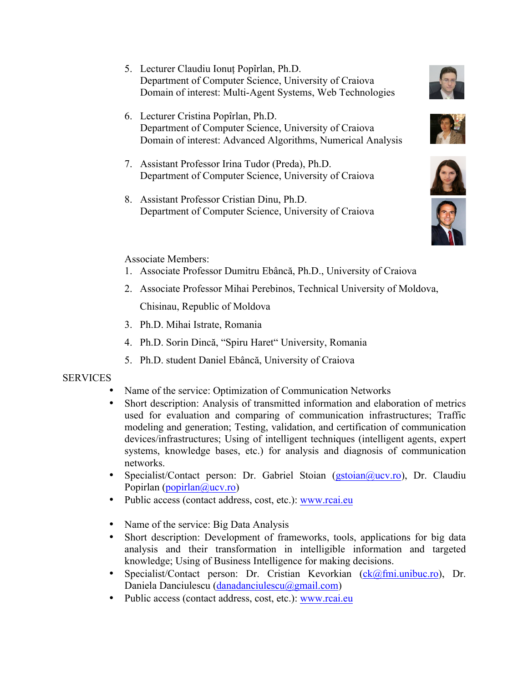- 5. Lecturer Claudiu Ionuț Popîrlan, Ph.D. Department of Computer Science, University of Craiova Domain of interest: Multi-Agent Systems, Web Technologies
- 6. Lecturer Cristina Popîrlan, Ph.D. Department of Computer Science, University of Craiova Domain of interest: Advanced Algorithms, Numerical Analysis
- 7. Assistant Professor Irina Tudor (Preda), Ph.D. Department of Computer Science, University of Craiova
- 8. Assistant Professor Cristian Dinu, Ph.D. Department of Computer Science, University of Craiova









#### Associate Members:

- 1. Associate Professor Dumitru Ebâncă, Ph.D., University of Craiova
- 2. Associate Professor Mihai Perebinos, Technical University of Moldova, Chisinau, Republic of Moldova
- 3. Ph.D. Mihai Istrate, Romania
- 4. Ph.D. Sorin Dincă, "Spiru Haret" University, Romania
- 5. Ph.D. student Daniel Ebâncă, University of Craiova

### **SERVICES**

- Name of the service: Optimization of Communication Networks
- Short description: Analysis of transmitted information and elaboration of metrics used for evaluation and comparing of communication infrastructures; Traffic modeling and generation; Testing, validation, and certification of communication devices/infrastructures; Using of intelligent techniques (intelligent agents, expert systems, knowledge bases, etc.) for analysis and diagnosis of communication networks.
- Specialist/Contact person: Dr. Gabriel Stoian (gstoian@ucv.ro), Dr. Claudiu Popirlan (popirlan@ucv.ro)
- Public access (contact address, cost, etc.): www.rcai.eu
- Name of the service: Big Data Analysis
- Short description: Development of frameworks, tools, applications for big data analysis and their transformation in intelligible information and targeted knowledge; Using of Business Intelligence for making decisions.
- Specialist/Contact person: Dr. Cristian Kevorkian (ck@fmi.unibuc.ro), Dr. Daniela Danciulescu (danadanciulescu@gmail.com)
- Public access (contact address, cost, etc.): www.rcai.eu